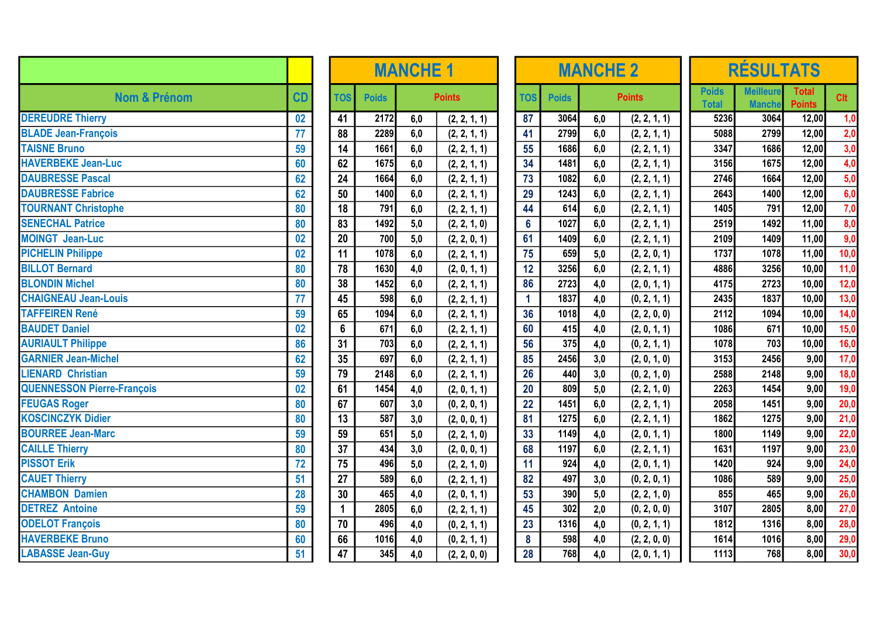|                                   |                 |                 | <b>MANCHE 1</b>  |     |               |  |                  |              | <b>MANCHE 2</b> |               | <b>RÉSULTATS</b>             |                                   |                               |      |  |
|-----------------------------------|-----------------|-----------------|------------------|-----|---------------|--|------------------|--------------|-----------------|---------------|------------------------------|-----------------------------------|-------------------------------|------|--|
| <b>Nom &amp; Prénom</b>           | CD              | <b>TOS</b>      | <b>Poids</b>     |     | <b>Points</b> |  | <b>TOS</b>       | <b>Poids</b> |                 | <b>Points</b> | <b>Poids</b><br><b>Total</b> | <b>Meilleure</b><br><b>Manche</b> | <b>Total</b><br><b>Points</b> | Clt  |  |
| <b>DEREUDRE Thierry</b>           | 02              | 41              | 2172             | 6,0 | (2, 2, 1, 1)  |  | 87               | 3064         | 6,0             | (2, 2, 1, 1)  | 5236                         | 3064                              | 12,00                         | 1,0  |  |
| <b>BLADE Jean-François</b>        | 77              | 88              | 2289             | 6,0 | (2, 2, 1, 1)  |  | 41               | 2799         | 6,0             | (2, 2, 1, 1)  | 5088                         | 2799                              | 12,00                         | 2,0  |  |
| <b>TAISNE Bruno</b>               | 59              | 14              | 1661             | 6,0 | (2, 2, 1, 1)  |  | 55               | 1686         | 6,0             | (2, 2, 1, 1)  | 3347                         | 1686                              | 12,00                         | 3,0  |  |
| <b>HAVERBEKE Jean-Luc</b>         | 60              | 62              | 1675             | 6,0 | (2, 2, 1, 1)  |  | 34               | 1481         | 6,0             | (2, 2, 1, 1)  | 3156                         | 1675                              | 12,00                         | 4,0  |  |
| <b>DAUBRESSE Pascal</b>           | 62              | 24              | 1664             | 6,0 | (2, 2, 1, 1)  |  | 73               | 1082         | 6,0             | (2, 2, 1, 1)  | 2746                         | 1664                              | 12,00                         | 5,0  |  |
| <b>DAUBRESSE Fabrice</b>          | 62              | 50              | 1400             | 6,0 | (2, 2, 1, 1)  |  | 29               | 1243         | 6,0             | (2, 2, 1, 1)  | 2643                         | 1400                              | 12,00                         | 6,0  |  |
| <b>TOURNANT Christophe</b>        | 80              | $\overline{18}$ | $\overline{791}$ | 6,0 | (2, 2, 1, 1)  |  | 44               | 614          | 6,0             | (2, 2, 1, 1)  | 1405                         | 791                               | 12,00                         | 7,0  |  |
| <b>SENECHAL Patrice</b>           | 80              | 83              | 1492             | 5,0 | (2, 2, 1, 0)  |  | $6\phantom{a}$   | 1027         | 6,0             | (2, 2, 1, 1)  | 2519                         | 1492                              | 11,00                         | 8,0  |  |
| <b>MOINGT Jean-Luc</b>            | 02              | 20              | 700              | 5,0 | (2, 2, 0, 1)  |  | 61               | 1409         | 6,0             | (2, 2, 1, 1)  | 2109                         | 1409                              | 11,00                         | 9,0  |  |
| <b>PICHELIN Philippe</b>          | 02              | 11              | 1078             | 6,0 | (2, 2, 1, 1)  |  | 75               | 659          | 5,0             | (2, 2, 0, 1)  | 1737                         | 1078                              | 11,00                         | 10,0 |  |
| <b>BILLOT Bernard</b>             | 80              | 78              | 1630             | 4,0 | (2, 0, 1, 1)  |  | 12               | 3256         | 6,0             | (2, 2, 1, 1)  | 4886                         | 3256                              | 10,00                         | 11,0 |  |
| <b>BLONDIN Michel</b>             | 80              | 38              | 1452             | 6,0 | (2, 2, 1, 1)  |  | 86               | 2723         | 4,0             | (2, 0, 1, 1)  | 4175                         | 2723                              | 10,00                         | 12,0 |  |
| <b>CHAIGNEAU Jean-Louis</b>       | 77              | 45              | 598              | 6,0 | (2, 2, 1, 1)  |  | $\mathbf{1}$     | 1837         | 4,0             | (0, 2, 1, 1)  | 2435                         | 1837                              | 10,00                         | 13,0 |  |
| <b>TAFFEIREN René</b>             | 59              | 65              | 1094             | 6,0 | (2, 2, 1, 1)  |  | 36               | 1018         | 4,0             | (2, 2, 0, 0)  | 2112                         | 1094                              | 10,00                         | 14,0 |  |
| <b>BAUDET Daniel</b>              | 02              | $6\phantom{a}$  | 671              | 6,0 | (2, 2, 1, 1)  |  | 60               | 415          | 4,0             | (2, 0, 1, 1)  | 1086                         | 671                               | 10,00                         | 15,0 |  |
| <b>AURIAULT Philippe</b>          | 86              | 31              | 703              | 6,0 | (2, 2, 1, 1)  |  | 56               | 375          | 4,0             | (0, 2, 1, 1)  | 1078                         | 703                               | 10,00                         | 16,0 |  |
| <b>GARNIER Jean-Michel</b>        | 62              | 35              | 697              | 6,0 | (2, 2, 1, 1)  |  | 85               | 2456         | 3,0             | (2, 0, 1, 0)  | 3153                         | 2456                              | 9,00                          | 17,0 |  |
| <b>LIENARD Christian</b>          | 59              | 79              | 2148             | 6,0 | (2, 2, 1, 1)  |  | 26               | 440          | 3,0             | (0, 2, 1, 0)  | 2588                         | 2148                              | 9,00                          | 18,0 |  |
| <b>QUENNESSON Pierre-François</b> | 02              | 61              | 1454             | 4,0 | (2, 0, 1, 1)  |  | $\overline{20}$  | 809          | 5,0             | (2, 2, 1, 0)  | 2263                         | 1454                              | 9,00                          | 19,0 |  |
| <b>FEUGAS Roger</b>               | 80              | 67              | 607              | 3,0 | (0, 2, 0, 1)  |  | 22               | 1451         | 6,0             | (2, 2, 1, 1)  | 2058                         | 1451                              | 9,00                          | 20,0 |  |
| <b>KOSCINCZYK Didier</b>          | 80              | $\overline{13}$ | 587              | 3,0 | (2, 0, 0, 1)  |  | 81               | 1275         | 6,0             | (2, 2, 1, 1)  | 1862                         | 1275                              | 9,00                          | 21,0 |  |
| <b>BOURREE Jean-Marc</b>          | 59              | 59              | 651              | 5,0 | (2, 2, 1, 0)  |  | 33               | 1149         | 4,0             | (2, 0, 1, 1)  | 1800                         | 1149                              | 9,00                          | 22,0 |  |
| <b>CAILLE Thierry</b>             | 80              | 37              | 434              | 3,0 | (2, 0, 0, 1)  |  | 68               | 1197         | 6,0             | (2, 2, 1, 1)  | 1631                         | 1197                              | 9,00                          | 23,0 |  |
| <b>PISSOT Erik</b>                | $\overline{72}$ | $\overline{75}$ | 496              | 5,0 | (2, 2, 1, 0)  |  | 11               | 924          | 4,0             | (2, 0, 1, 1)  | 1420                         | 924                               | 9,00                          | 24,0 |  |
| <b>CAUET Thierry</b>              | 51              | 27              | 589              | 6,0 | (2, 2, 1, 1)  |  | 82               | 497          | 3,0             | (0, 2, 0, 1)  | 1086                         | 589                               | 9,00                          | 25,0 |  |
| <b>CHAMBON Damien</b>             | 28              | 30              | 465              | 4,0 | (2, 0, 1, 1)  |  | 53               | 390          | 5,0             | (2, 2, 1, 0)  | 855                          | 465                               | 9,00                          | 26,0 |  |
| <b>DETREZ</b> Antoine             | 59              | $\mathbf{1}$    | 2805             | 6,0 | (2, 2, 1, 1)  |  | 45               | 302          | 2,0             | (0, 2, 0, 0)  | 3107                         | 2805                              | 8,00                          | 27,0 |  |
| <b>ODELOT François</b>            | 80              | 70              | 496              | 4,0 | (0, 2, 1, 1)  |  | 23               | 1316         | 4,0             | (0, 2, 1, 1)  | 1812                         | 1316                              | 8,00                          | 28,0 |  |
| <b>HAVERBEKE Bruno</b>            | 60              | 66              | 1016             | 4,0 | (0, 2, 1, 1)  |  | $\boldsymbol{8}$ | 598          | 4,0             | (2, 2, 0, 0)  | 1614                         | 1016                              | 8,00                          | 29,0 |  |
| <b>LABASSE Jean-Guy</b>           | 51              | $\overline{47}$ | 345              | 4,0 | (2, 2, 0, 0)  |  | 28               | 768          | 4,0             | (2, 0, 1, 1)  | 1113                         | 768                               | 8,00                          | 30,0 |  |

|            | <b>MANCHE 1</b> |     |               |  |  |  |  |  |  |  |  |  |  |
|------------|-----------------|-----|---------------|--|--|--|--|--|--|--|--|--|--|
| <b>TOS</b> | <b>Poids</b>    |     | <b>Points</b> |  |  |  |  |  |  |  |  |  |  |
| 41         | 2172            | 6,0 | (2, 2, 1, 1)  |  |  |  |  |  |  |  |  |  |  |
| 88         | 2289            | 6,0 | (2, 2, 1, 1)  |  |  |  |  |  |  |  |  |  |  |
| 14         | 1661            | 6,0 | (2, 2, 1, 1)  |  |  |  |  |  |  |  |  |  |  |
| 62         | 1675            | 6,0 | (2, 2, 1, 1)  |  |  |  |  |  |  |  |  |  |  |
| 24         | 1664            | 6,0 | (2, 2, 1, 1)  |  |  |  |  |  |  |  |  |  |  |
| 50         | 1400            | 6,0 | (2, 2, 1, 1)  |  |  |  |  |  |  |  |  |  |  |
| 18         | 791             | 6,0 | (2, 2, 1, 1)  |  |  |  |  |  |  |  |  |  |  |
| 83         | 1492            | 5,0 | (2, 2, 1, 0)  |  |  |  |  |  |  |  |  |  |  |
| 20         | 700             | 5,0 | (2, 2, 0, 1)  |  |  |  |  |  |  |  |  |  |  |
| 11         | 1078            | 6,0 | (2, 2, 1, 1)  |  |  |  |  |  |  |  |  |  |  |
| 78         | 1630            | 4,0 | (2, 0, 1, 1)  |  |  |  |  |  |  |  |  |  |  |
| 38         | 1452            | 6,0 | (2, 2, 1, 1)  |  |  |  |  |  |  |  |  |  |  |
| 45         | 598             | 6,0 | (2, 2, 1, 1)  |  |  |  |  |  |  |  |  |  |  |
| 65         | 1094            | 6,0 | (2, 2, 1, 1)  |  |  |  |  |  |  |  |  |  |  |
| 6          | 671             | 6,0 | (2, 2, 1, 1)  |  |  |  |  |  |  |  |  |  |  |
| 31         | 703             | 6,0 | (2, 2, 1, 1)  |  |  |  |  |  |  |  |  |  |  |
| 35         | 697             | 6,0 | (2, 2, 1, 1)  |  |  |  |  |  |  |  |  |  |  |
| 79         | 2148            | 6,0 | (2, 2, 1, 1)  |  |  |  |  |  |  |  |  |  |  |
| 61         | 1454            | 4,0 | (2, 0, 1, 1)  |  |  |  |  |  |  |  |  |  |  |
| 67         | 607             | 3,0 | (0, 2, 0, 1)  |  |  |  |  |  |  |  |  |  |  |
| 13         | 587             | 3,0 | (2, 0, 0, 1)  |  |  |  |  |  |  |  |  |  |  |
| 59         | 651             | 5,0 | (2, 2, 1, 0)  |  |  |  |  |  |  |  |  |  |  |
| 37         | 434             | 3,0 | (2, 0, 0, 1)  |  |  |  |  |  |  |  |  |  |  |
| 75         | 496             | 5,0 | (2, 2, 1, 0)  |  |  |  |  |  |  |  |  |  |  |
| 27         | 589             | 6,0 | (2, 2, 1, 1)  |  |  |  |  |  |  |  |  |  |  |
| 30         | 465             | 4,0 | (2, 0, 1, 1)  |  |  |  |  |  |  |  |  |  |  |
| 1          | 2805            | 6,0 | (2, 2, 1, 1)  |  |  |  |  |  |  |  |  |  |  |
| 70         | 496             | 4,0 | (0, 2, 1, 1)  |  |  |  |  |  |  |  |  |  |  |
| 66         | 1016            | 4,0 | (0, 2, 1, 1)  |  |  |  |  |  |  |  |  |  |  |
| 47         | 345             | 4,0 | (2, 2, 0, 0)  |  |  |  |  |  |  |  |  |  |  |

| <b>MANCHE 1</b> |     |                              |  |                |      | <b>MANCHE 2</b> |                              | <b>RÉSULTATS</b>     |                       |                        |                  |       |
|-----------------|-----|------------------------------|--|----------------|------|-----------------|------------------------------|----------------------|-----------------------|------------------------|------------------|-------|
| ids             |     | <b>Points</b>                |  |                |      | <b>TOS</b>      | <b>Poids</b>                 |                      | <b>Points</b>         | <b>Poids</b>           | <b>Meilleure</b> | Total |
| 2172            | 6,0 |                              |  | 87             | 3064 | 6,0             |                              | <b>Total</b><br>5236 | <b>Manche</b><br>3064 | <b>Points</b><br>12,00 |                  |       |
| 2289            | 6,0 | (2, 2, 1, 1)                 |  | 41             | 2799 | 6,0             | (2, 2, 1, 1)                 | 5088                 | 2799                  | 12,00                  |                  |       |
| 1661            | 6,0 | (2, 2, 1, 1)                 |  | 55             | 1686 | 6,0             | (2, 2, 1, 1)<br>(2, 2, 1, 1) | 3347                 | 1686                  | 12,00                  |                  |       |
| 1675            | 6,0 | (2, 2, 1, 1)<br>(2, 2, 1, 1) |  | 34             | 1481 | 6,0             | (2, 2, 1, 1)                 | 3156                 | 1675                  | 12,00                  |                  |       |
| 1664            | 6,0 | (2, 2, 1, 1)                 |  | 73             | 1082 | 6,0             | (2, 2, 1, 1)                 | 2746                 | 1664                  | 12,00                  |                  |       |
| 1400            | 6,0 | (2, 2, 1, 1)                 |  | 29             | 1243 | 6,0             | (2, 2, 1, 1)                 | 2643                 | 1400                  | 12,00                  |                  |       |
| 791             | 6,0 | (2, 2, 1, 1)                 |  | 44             | 614  | 6,0             | (2, 2, 1, 1)                 | 1405                 | 791                   | 12,00                  |                  |       |
| 1492            | 5,0 | (2, 2, 1, 0)                 |  | $6\phantom{a}$ | 1027 | 6,0             | (2, 2, 1, 1)                 | 2519                 | 1492                  | 11,00                  |                  |       |
| 700             | 5,0 | (2, 2, 0, 1)                 |  | 61             | 1409 | 6,0             | (2, 2, 1, 1)                 | 2109                 | 1409                  | 11,00                  |                  |       |
| 1078            | 6,0 | (2, 2, 1, 1)                 |  | 75             | 659  | 5,0             | (2, 2, 0, 1)                 | 1737                 | 1078                  | 11,00                  |                  |       |
| 1630            | 4,0 | (2, 0, 1, 1)                 |  | 12             | 3256 | 6,0             | (2, 2, 1, 1)                 | 4886                 | 3256                  | 10,00                  |                  |       |
| 1452            | 6,0 | (2, 2, 1, 1)                 |  | 86             | 2723 | 4,0             | (2, 0, 1, 1)                 | 4175                 | 2723                  | 10,00                  |                  |       |
| 598             | 6,0 | (2, 2, 1, 1)                 |  | 1              | 1837 | 4,0             | (0, 2, 1, 1)                 | 2435                 | 1837                  | 10,00                  |                  |       |
| 1094            | 6,0 | (2, 2, 1, 1)                 |  | 36             | 1018 | 4,0             | (2, 2, 0, 0)                 | 2112                 | 1094                  | 10,00                  |                  |       |
| 671             | 6,0 | (2, 2, 1, 1)                 |  | 60             | 415  | 4,0             | (2, 0, 1, 1)                 | 1086                 | 671                   | 10,00                  |                  |       |
| 703             | 6,0 | (2, 2, 1, 1)                 |  | 56             | 375  | 4,0             | (0, 2, 1, 1)                 | 1078                 | 703                   | 10,00                  |                  |       |
| 697             | 6,0 | (2, 2, 1, 1)                 |  | 85             | 2456 | 3,0             | (2, 0, 1, 0)                 | 3153                 | 2456                  | 9,00                   |                  |       |
| 2148            | 6,0 | (2, 2, 1, 1)                 |  | 26             | 440  | 3,0             | (0, 2, 1, 0)                 | 2588                 | 2148                  | 9,00                   |                  |       |
| 1454            | 4,0 | (2, 0, 1, 1)                 |  | 20             | 809  | 5,0             | (2, 2, 1, 0)                 | 2263                 | 1454                  | 9,00                   |                  |       |
| 607             | 3,0 | (0, 2, 0, 1)                 |  | 22             | 1451 | 6,0             | (2, 2, 1, 1)                 | 2058                 | 1451                  | 9,00                   |                  |       |
| 587             | 3,0 | (2, 0, 0, 1)                 |  | 81             | 1275 | 6,0             | (2, 2, 1, 1)                 | 1862                 | 1275                  | 9,00                   |                  |       |
| 651             | 5,0 | (2, 2, 1, 0)                 |  | 33             | 1149 | 4,0             | (2, 0, 1, 1)                 | 1800                 | 1149                  | 9,00                   |                  |       |
| 434             | 3,0 | (2, 0, 0, 1)                 |  | 68             | 1197 | 6,0             | (2, 2, 1, 1)                 | 1631                 | 1197                  | 9,00                   |                  |       |
| 496             | 5,0 | (2, 2, 1, 0)                 |  | 11             | 924  | 4,0             | (2, 0, 1, 1)                 | 1420                 | 924                   | 9,00                   |                  |       |
| 589             | 6,0 | (2, 2, 1, 1)                 |  | 82             | 497  | 3,0             | (0, 2, 0, 1)                 | 1086                 | 589                   | 9,00                   |                  |       |
| 465             | 4,0 | (2, 0, 1, 1)                 |  | 53             | 390  | 5,0             | (2, 2, 1, 0)                 | 855                  | 465                   | 9,00                   |                  |       |
| 2805            | 6,0 | (2, 2, 1, 1)                 |  | 45             | 302  | 2,0             | (0, 2, 0, 0)                 | 3107                 | 2805                  | 8,00                   |                  |       |
| 496             | 4,0 | (0, 2, 1, 1)                 |  | 23             | 1316 | 4,0             | (0, 2, 1, 1)                 | 1812                 | 1316                  | 8,00                   |                  |       |
| 1016            | 4,0 | (0, 2, 1, 1)                 |  | 8              | 598  | 4,0             | (2, 2, 0, 0)                 | 1614                 | 1016                  | 8,00                   |                  |       |
| 345             | 4,0 | (2, 2, 0, 0)                 |  | 28             | 768  | 4,0             | (2, 0, 1, 1)                 | 1113                 | 768                   | 8,00                   |                  |       |

| RÉSULTATS    |                  |                     |      |  |  |  |  |  |  |  |  |  |
|--------------|------------------|---------------------|------|--|--|--|--|--|--|--|--|--|
| <b>Poids</b> | <b>Meilleure</b> | <b>Total</b>        | Clt  |  |  |  |  |  |  |  |  |  |
| <b>Total</b> | <b>Manche</b>    | Points              |      |  |  |  |  |  |  |  |  |  |
| 5236         | 3064             | 12,00               | 1,0  |  |  |  |  |  |  |  |  |  |
| 5088         | 2799             | 12,00               | 2,0  |  |  |  |  |  |  |  |  |  |
| 3347         | 1686             | 12,00               | 3,0  |  |  |  |  |  |  |  |  |  |
| 3156         | 1675             | 12,00               | 4,0  |  |  |  |  |  |  |  |  |  |
| 2746         | 1664             | $\overline{1}$ 2,00 | 5,0  |  |  |  |  |  |  |  |  |  |
| 2643         | 1400             | 12,00               | 6,0  |  |  |  |  |  |  |  |  |  |
| 1405         | 791              | 12,00               | 7,0  |  |  |  |  |  |  |  |  |  |
| 2519         | 1492             | $\overline{11,00}$  | 8,0  |  |  |  |  |  |  |  |  |  |
| 2109         | 1409             | 11,00               | 9,0  |  |  |  |  |  |  |  |  |  |
| 1737         | 1078             | 11,00               | 10,0 |  |  |  |  |  |  |  |  |  |
| 4886         | 3256             | 10,00               | 11,0 |  |  |  |  |  |  |  |  |  |
| 4175         | 2723             | 10,00               | 12,0 |  |  |  |  |  |  |  |  |  |
| 2435         | 1837             | 10,00               | 13,0 |  |  |  |  |  |  |  |  |  |
| 2112         | 1094             | 10,00               | 14,0 |  |  |  |  |  |  |  |  |  |
| 1086         | 671              | 10,00               | 15,0 |  |  |  |  |  |  |  |  |  |
| 1078         | 703              | 10,00               | 16,0 |  |  |  |  |  |  |  |  |  |
| 3153         | 2456             | 9,00                | 17,0 |  |  |  |  |  |  |  |  |  |
| 2588         | 2148             | 9,00                | 18,0 |  |  |  |  |  |  |  |  |  |
| 2263         | 1454             | 9,00                | 19,0 |  |  |  |  |  |  |  |  |  |
| 2058         | 1451             | 9,00                | 20,0 |  |  |  |  |  |  |  |  |  |
| 1862         | 1275             | 9,00                | 21,0 |  |  |  |  |  |  |  |  |  |
| 1800         | 1149             | 9,00                | 22,0 |  |  |  |  |  |  |  |  |  |
| 1631         | 1197             | 9,00                | 23,0 |  |  |  |  |  |  |  |  |  |
| 1420         | 924              | 9,00                | 24,0 |  |  |  |  |  |  |  |  |  |
| 1086         | 589              | 9,00                | 25,0 |  |  |  |  |  |  |  |  |  |
| 855          | 465              | 9,00                | 26,0 |  |  |  |  |  |  |  |  |  |
| 3107         | 2805             | 8,00                | 27,0 |  |  |  |  |  |  |  |  |  |
| 1812         | 1316             | 8,00                | 28,0 |  |  |  |  |  |  |  |  |  |
| 1614         | 1016             | 8,00                | 29,0 |  |  |  |  |  |  |  |  |  |
| 1113         | 768              | 8,00                | 30,0 |  |  |  |  |  |  |  |  |  |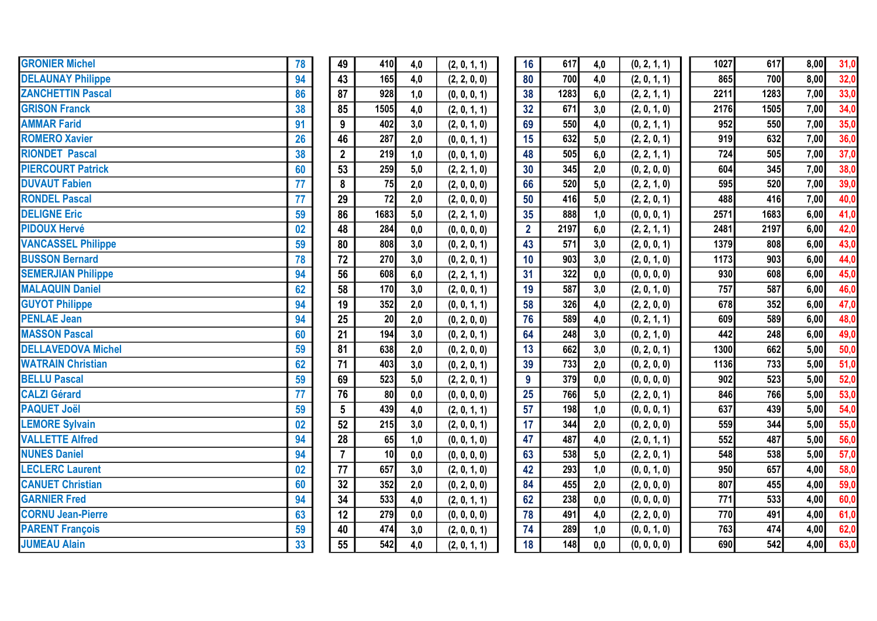| <b>GRONIER Michel</b>     | 78 | 49              | 410             | 4,0 | (2, 0, 1, 1) | 16              | 617  | 4,0 | (0, 2, 1, 1) | 1027 | 617  | 8,00 | 31,0 |
|---------------------------|----|-----------------|-----------------|-----|--------------|-----------------|------|-----|--------------|------|------|------|------|
| <b>DELAUNAY Philippe</b>  | 94 | 43              | 165             | 4,0 | (2, 2, 0, 0) | 80              | 700  | 4,0 | (2, 0, 1, 1) | 865  | 700  | 8,00 | 32,0 |
| <b>ZANCHETTIN Pascal</b>  | 86 | $\overline{87}$ | 928             | 1,0 | (0, 0, 0, 1) | 38              | 1283 | 6,0 | (2, 2, 1, 1) | 2211 | 1283 | 7,00 | 33,0 |
| <b>GRISON Franck</b>      | 38 | 85              | 1505            | 4,0 | (2, 0, 1, 1) | 32              | 671  | 3,0 | (2, 0, 1, 0) | 2176 | 1505 | 7,00 | 34,0 |
| <b>AMMAR Farid</b>        | 91 | 9               | 402             | 3,0 | (2, 0, 1, 0) | 69              | 550  | 4,0 | (0, 2, 1, 1) | 952  | 550  | 7,00 | 35,0 |
| <b>ROMERO Xavier</b>      | 26 | 46              | 287             | 2,0 | (0, 0, 1, 1) | 15              | 632  | 5,0 | (2, 2, 0, 1) | 919  | 632  | 7,00 | 36,0 |
| <b>RIONDET Pascal</b>     | 38 | $\overline{2}$  | 219             | 1,0 | (0, 0, 1, 0) | 48              | 505  | 6,0 | (2, 2, 1, 1) | 724  | 505  | 7,00 | 37,0 |
| <b>PIERCOURT Patrick</b>  | 60 | 53              | 259             | 5,0 | (2, 2, 1, 0) | 30              | 345  | 2,0 | (0, 2, 0, 0) | 604  | 345  | 7,00 | 38,0 |
| <b>DUVAUT Fabien</b>      | 77 | 8               | 75              | 2,0 | (2, 0, 0, 0) | 66              | 520  | 5,0 | (2, 2, 1, 0) | 595  | 520  | 7,00 | 39,0 |
| <b>RONDEL Pascal</b>      | 77 | 29              | 72              | 2,0 | (2, 0, 0, 0) | 50              | 416  | 5,0 | (2, 2, 0, 1) | 488  | 416  | 7,00 | 40,0 |
| <b>DELIGNE Eric</b>       | 59 | 86              | 1683            | 5,0 | (2, 2, 1, 0) | 35              | 888  | 1,0 | (0, 0, 0, 1) | 2571 | 1683 | 6,00 | 41,0 |
| <b>PIDOUX Hervé</b>       | 02 | 48              | 284             | 0,0 | (0, 0, 0, 0) | $\overline{2}$  | 2197 | 6,0 | (2, 2, 1, 1) | 2481 | 2197 | 6,00 | 42,0 |
| <b>VANCASSEL Philippe</b> | 59 | 80              | 808             | 3,0 | (0, 2, 0, 1) | 43              | 571  | 3,0 | (2, 0, 0, 1) | 1379 | 808  | 6,00 | 43,0 |
| <b>BUSSON Bernard</b>     | 78 | 72              | 270             | 3,0 | (0, 2, 0, 1) | 10              | 903  | 3,0 | (2, 0, 1, 0) | 1173 | 903  | 6,00 | 44,0 |
| <b>SEMERJIAN Philippe</b> | 94 | 56              | 608             | 6,0 | (2, 2, 1, 1) | 31              | 322  | 0,0 | (0, 0, 0, 0) | 930  | 608  | 6,00 | 45,0 |
| <b>MALAQUIN Daniel</b>    | 62 | 58              | 170             | 3,0 | (2, 0, 0, 1) | 19              | 587  | 3,0 | (2, 0, 1, 0) | 757  | 587  | 6,00 | 46,0 |
| <b>GUYOT Philippe</b>     | 94 | 19              | 352             | 2,0 | (0, 0, 1, 1) | 58              | 326  | 4,0 | (2, 2, 0, 0) | 678  | 352  | 6,00 | 47,0 |
| <b>PENLAE Jean</b>        | 94 | $\overline{25}$ | 20              | 2,0 | (0, 2, 0, 0) | $\overline{76}$ | 589  | 4,0 | (0, 2, 1, 1) | 609  | 589  | 6,00 | 48,0 |
| <b>MASSON Pascal</b>      | 60 | 21              | 194             | 3,0 | (0, 2, 0, 1) | 64              | 248  | 3,0 | (0, 2, 1, 0) | 442  | 248  | 6,00 | 49,0 |
| <b>DELLAVEDOVA Michel</b> | 59 | 81              | 638             | 2,0 | (0, 2, 0, 0) | 13              | 662  | 3,0 | (0, 2, 0, 1) | 1300 | 662  | 5,00 | 50,0 |
| <b>WATRAIN Christian</b>  | 62 | 71              | 403             | 3,0 | (0, 2, 0, 1) | 39              | 733  | 2,0 | (0, 2, 0, 0) | 1136 | 733  | 5,00 | 51,0 |
| <b>BELLU Pascal</b>       | 59 | 69              | 523             | 5,0 | (2, 2, 0, 1) | 9 <sup>°</sup>  | 379  | 0,0 | (0, 0, 0, 0) | 902  | 523  | 5,00 | 52,0 |
| <b>CALZI Gérard</b>       | 77 | 76              | 80              | 0,0 | (0, 0, 0, 0) | 25              | 766  | 5,0 | (2, 2, 0, 1) | 846  | 766  | 5,00 | 53,0 |
| <b>PAQUET Joël</b>        | 59 | $5\phantom{.0}$ | 439             | 4,0 | (2, 0, 1, 1) | 57              | 198  | 1,0 | (0, 0, 0, 1) | 637  | 439  | 5,00 | 54,0 |
| <b>LEMORE Sylvain</b>     | 02 | 52              | 215             | 3,0 | (2, 0, 0, 1) | 17              | 344  | 2,0 | (0, 2, 0, 0) | 559  | 344  | 5,00 | 55,0 |
| <b>VALLETTE Alfred</b>    | 94 | 28              | 65              | 1,0 | (0, 0, 1, 0) | 47              | 487  | 4,0 | (2, 0, 1, 1) | 552  | 487  | 5,00 | 56,0 |
| <b>NUNES Daniel</b>       | 94 | $\overline{7}$  | 10 <sup>1</sup> | 0,0 | (0, 0, 0, 0) | 63              | 538  | 5,0 | (2, 2, 0, 1) | 548  | 538  | 5,00 | 57,0 |
| <b>LECLERC Laurent</b>    | 02 | 77              | 657             | 3,0 | (2, 0, 1, 0) | 42              | 293  | 1,0 | (0, 0, 1, 0) | 950  | 657  | 4,00 | 58,0 |
| <b>CANUET Christian</b>   | 60 | 32              | 352             | 2,0 | (0, 2, 0, 0) | 84              | 455  | 2,0 | (2, 0, 0, 0) | 807  | 455  | 4,00 | 59,0 |
| <b>GARNIER Fred</b>       | 94 | 34              | 533             | 4,0 | (2, 0, 1, 1) | 62              | 238  | 0,0 | (0, 0, 0, 0) | 771  | 533  | 4,00 | 60,0 |
| <b>CORNU Jean-Pierre</b>  | 63 | 12              | 279             | 0,0 | (0, 0, 0, 0) | 78              | 491  | 4,0 | (2, 2, 0, 0) | 770  | 491  | 4,00 | 61,0 |
| <b>PARENT François</b>    | 59 | 40              | 474             | 3,0 | (2, 0, 0, 1) | 74              | 289  | 1,0 | (0, 0, 1, 0) | 763  | 474  | 4,00 | 62,0 |
| <b>JUMEAU Alain</b>       | 33 | 55              | 542             | 4,0 | (2, 0, 1, 1) | 18              | 148  | 0,0 | (0, 0, 0, 0) | 690  | 542  | 4,00 | 63,0 |